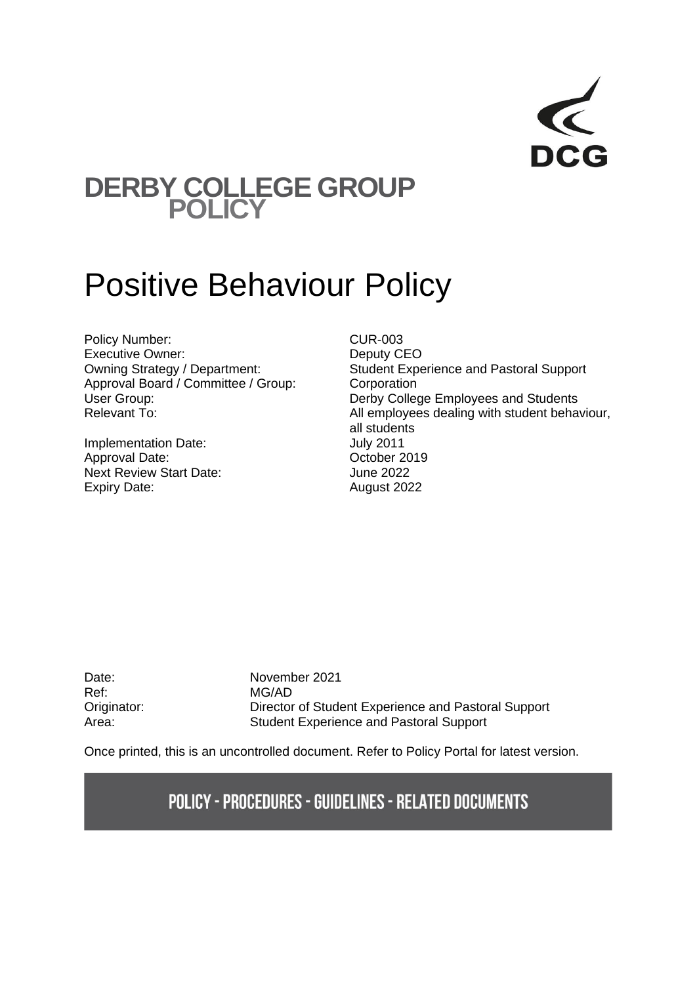## **DERBY COLLEGE GROUP POLICY**

# Positive Behaviour Policy

Policy Number: CUR-003 Executive Owner: Deputy CEO<br>
Deputy CEO<br>
Owning Strategy / Department: Student Expe Approval Board / Committee / Group: Corporation<br>User Group: Collection

Implementation Date:<br>
Approval Date: Contract Contract October 2019 Approval Date: Next Review Start Date: June 2022 Expiry Date: August 2022

Student Experience and Pastoral Support Derby College Employees and Students Relevant To:  $\blacksquare$  All employees dealing with student behaviour, all students

Ref: MG/AD

Date: November 2021 Originator: Director of Student Experience and Pastoral Support Area: Student Experience and Pastoral Support

Once printed, this is an uncontrolled document. Refer to Policy Portal for latest version.

### **POLICY - PROCEDURES - GUIDELINES - RELATED DOCUMENTS**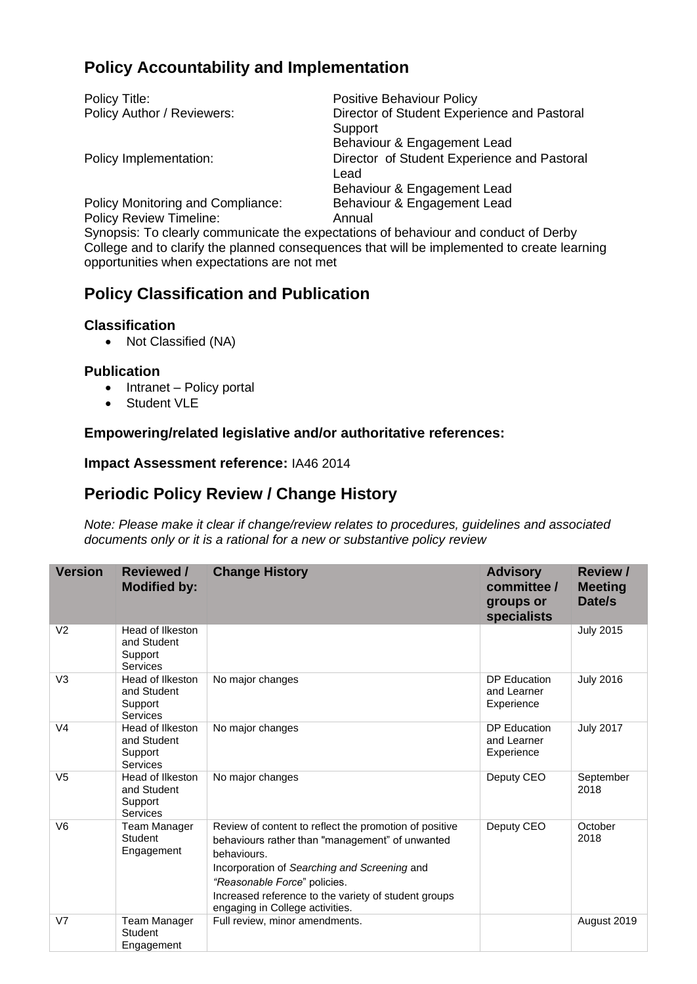#### **Policy Accountability and Implementation**

| Policy Title:                     | <b>Positive Behaviour Policy</b>            |
|-----------------------------------|---------------------------------------------|
| Policy Author / Reviewers:        | Director of Student Experience and Pastoral |
|                                   | Support                                     |
|                                   | Behaviour & Engagement Lead                 |
| Policy Implementation:            | Director of Student Experience and Pastoral |
|                                   | Lead                                        |
|                                   | Behaviour & Engagement Lead                 |
| Policy Monitoring and Compliance: | Behaviour & Engagement Lead                 |
| <b>Policy Review Timeline:</b>    | Annual                                      |

Synopsis: To clearly communicate the expectations of behaviour and conduct of Derby College and to clarify the planned consequences that will be implemented to create learning opportunities when expectations are not met

#### **Policy Classification and Publication**

#### **Classification**

• Not Classified (NA)

#### **Publication**

- Intranet Policy portal
- Student VLE

#### **Empowering/related legislative and/or authoritative references:**

#### **Impact Assessment reference:** IA46 2014

#### **Periodic Policy Review / Change History**

*Note: Please make it clear if change/review relates to procedures, guidelines and associated documents only or it is a rational for a new or substantive policy review*

| <b>Version</b> | <b>Reviewed /</b><br><b>Modified by:</b>               | <b>Change History</b>                                                                                                                                                                                                                                                                               | <b>Advisory</b><br>committee /<br>groups or<br>specialists | <b>Review /</b><br><b>Meeting</b><br>Date/s |
|----------------|--------------------------------------------------------|-----------------------------------------------------------------------------------------------------------------------------------------------------------------------------------------------------------------------------------------------------------------------------------------------------|------------------------------------------------------------|---------------------------------------------|
| V <sub>2</sub> | Head of Ilkeston<br>and Student<br>Support<br>Services |                                                                                                                                                                                                                                                                                                     |                                                            | <b>July 2015</b>                            |
| V <sub>3</sub> | Head of Ilkeston<br>and Student<br>Support<br>Services | No major changes                                                                                                                                                                                                                                                                                    | DP Education<br>and Learner<br>Experience                  | <b>July 2016</b>                            |
| V <sub>4</sub> | Head of Ilkeston<br>and Student<br>Support<br>Services | No major changes                                                                                                                                                                                                                                                                                    | DP Education<br>and Learner<br>Experience                  | <b>July 2017</b>                            |
| V <sub>5</sub> | Head of Ilkeston<br>and Student<br>Support<br>Services | No major changes                                                                                                                                                                                                                                                                                    | Deputy CEO                                                 | September<br>2018                           |
| V <sub>6</sub> | Team Manager<br>Student<br>Engagement                  | Review of content to reflect the promotion of positive<br>behaviours rather than "management" of unwanted<br>behaviours.<br>Incorporation of Searching and Screening and<br>"Reasonable Force" policies.<br>Increased reference to the variety of student groups<br>engaging in College activities. | Deputy CEO                                                 | October<br>2018                             |
| V <sub>7</sub> | Team Manager<br><b>Student</b><br>Engagement           | Full review, minor amendments.                                                                                                                                                                                                                                                                      |                                                            | August 2019                                 |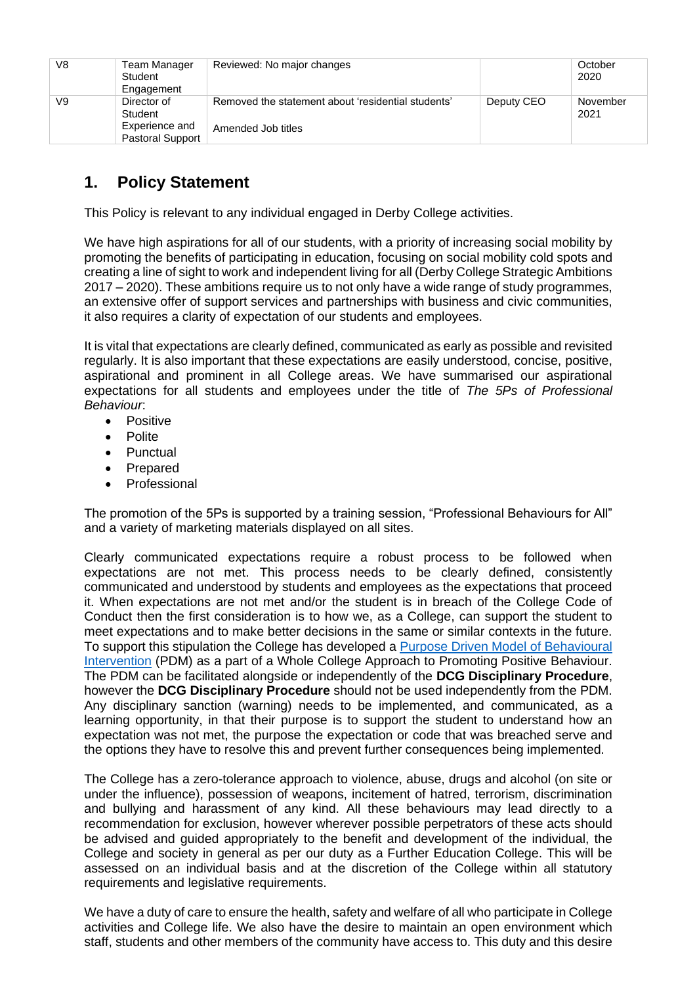| V8 | Team Manager<br>Student<br>Engagement     | Reviewed: No major changes                         |            | October<br>2020  |
|----|-------------------------------------------|----------------------------------------------------|------------|------------------|
| V9 | Director of<br>Student                    | Removed the statement about 'residential students' | Deputy CEO | November<br>2021 |
|    | Experience and<br><b>Pastoral Support</b> | Amended Job titles                                 |            |                  |

#### **1. Policy Statement**

This Policy is relevant to any individual engaged in Derby College activities.

We have high aspirations for all of our students, with a priority of increasing social mobility by promoting the benefits of participating in education, focusing on social mobility cold spots and creating a line of sight to work and independent living for all (Derby College Strategic Ambitions 2017 – 2020). These ambitions require us to not only have a wide range of study programmes, an extensive offer of support services and partnerships with business and civic communities, it also requires a clarity of expectation of our students and employees.

It is vital that expectations are clearly defined, communicated as early as possible and revisited regularly. It is also important that these expectations are easily understood, concise, positive, aspirational and prominent in all College areas. We have summarised our aspirational expectations for all students and employees under the title of *The 5Ps of Professional Behaviour*:

- Positive
- Polite
- Punctual
- Prepared
- Professional

The promotion of the 5Ps is supported by a training session, "Professional Behaviours for All" and a variety of marketing materials displayed on all sites.

Clearly communicated expectations require a robust process to be followed when expectations are not met. This process needs to be clearly defined, consistently communicated and understood by students and employees as the expectations that proceed it. When expectations are not met and/or the student is in breach of the College Code of Conduct then the first consideration is to how we, as a College, can support the student to meet expectations and to make better decisions in the same or similar contexts in the future. To support this stipulation the College has developed a [Purpose Driven Model of Behavioural](https://studentderbycollegeac-my.sharepoint.com/:v:/g/personal/peter_benyon_derby-college_ac_uk/ESC6lqkGNhdMsay8Jyqu6ZoBcrFB7BMbpTWyS1496qREcg?e=f1dAeB)  [Intervention](https://studentderbycollegeac-my.sharepoint.com/:v:/g/personal/peter_benyon_derby-college_ac_uk/ESC6lqkGNhdMsay8Jyqu6ZoBcrFB7BMbpTWyS1496qREcg?e=f1dAeB) (PDM) as a part of a Whole College Approach to Promoting Positive Behaviour. The PDM can be facilitated alongside or independently of the **DCG Disciplinary Procedure**, however the **DCG Disciplinary Procedure** should not be used independently from the PDM. Any disciplinary sanction (warning) needs to be implemented, and communicated, as a learning opportunity, in that their purpose is to support the student to understand how an expectation was not met, the purpose the expectation or code that was breached serve and the options they have to resolve this and prevent further consequences being implemented.

The College has a zero-tolerance approach to violence, abuse, drugs and alcohol (on site or under the influence), possession of weapons, incitement of hatred, terrorism, discrimination and bullying and harassment of any kind. All these behaviours may lead directly to a recommendation for exclusion, however wherever possible perpetrators of these acts should be advised and guided appropriately to the benefit and development of the individual, the College and society in general as per our duty as a Further Education College. This will be assessed on an individual basis and at the discretion of the College within all statutory requirements and legislative requirements.

We have a duty of care to ensure the health, safety and welfare of all who participate in College activities and College life. We also have the desire to maintain an open environment which staff, students and other members of the community have access to. This duty and this desire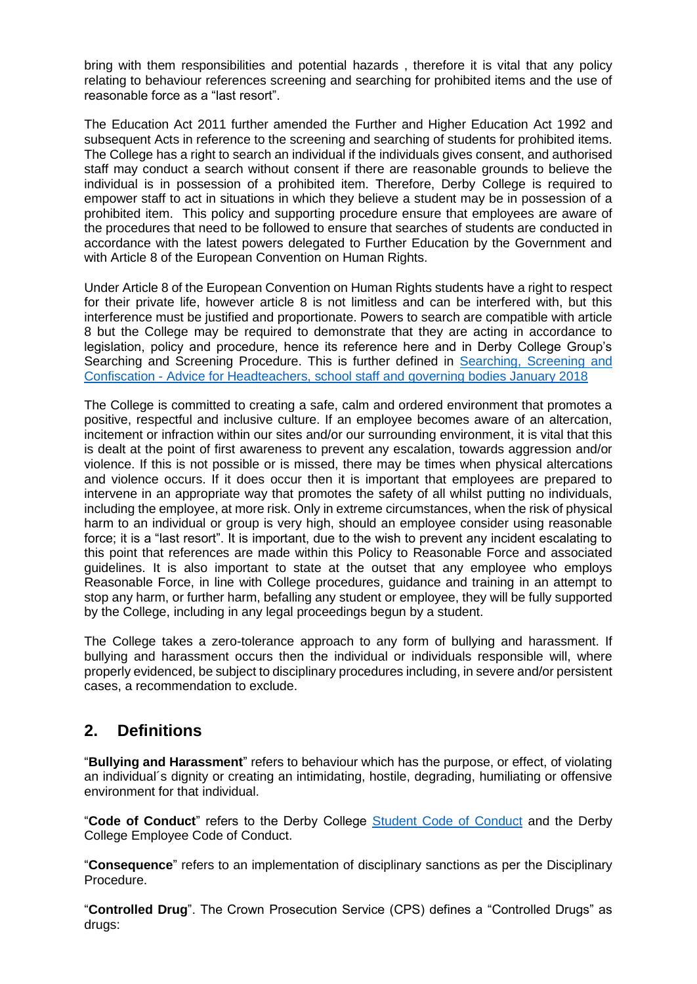bring with them responsibilities and potential hazards , therefore it is vital that any policy relating to behaviour references screening and searching for prohibited items and the use of reasonable force as a "last resort".

The Education Act 2011 further amended the Further and Higher Education Act 1992 and subsequent Acts in reference to the screening and searching of students for prohibited items. The College has a right to search an individual if the individuals gives consent, and authorised staff may conduct a search without consent if there are reasonable grounds to believe the individual is in possession of a prohibited item. Therefore, Derby College is required to empower staff to act in situations in which they believe a student may be in possession of a prohibited item. This policy and supporting procedure ensure that employees are aware of the procedures that need to be followed to ensure that searches of students are conducted in accordance with the latest powers delegated to Further Education by the Government and with Article 8 of the European Convention on Human Rights.

Under Article 8 of the European Convention on Human Rights students have a right to respect for their private life, however article 8 is not limitless and can be interfered with, but this interference must be justified and proportionate. Powers to search are compatible with article 8 but the College may be required to demonstrate that they are acting in accordance to legislation, policy and procedure, hence its reference here and in Derby College Group's Searching and Screening Procedure. This is further defined in [Searching, Screening and](https://assets.publishing.service.gov.uk/government/uploads/system/uploads/attachment_data/file/674416/Searching_screening_and_confiscation.pdf)  Confiscation - [Advice for Headteachers, school staff and governing bodies January 2018](https://assets.publishing.service.gov.uk/government/uploads/system/uploads/attachment_data/file/674416/Searching_screening_and_confiscation.pdf)

The College is committed to creating a safe, calm and ordered environment that promotes a positive, respectful and inclusive culture. If an employee becomes aware of an altercation, incitement or infraction within our sites and/or our surrounding environment, it is vital that this is dealt at the point of first awareness to prevent any escalation, towards aggression and/or violence. If this is not possible or is missed, there may be times when physical altercations and violence occurs. If it does occur then it is important that employees are prepared to intervene in an appropriate way that promotes the safety of all whilst putting no individuals, including the employee, at more risk. Only in extreme circumstances, when the risk of physical harm to an individual or group is very high, should an employee consider using reasonable force; it is a "last resort". It is important, due to the wish to prevent any incident escalating to this point that references are made within this Policy to Reasonable Force and associated guidelines. It is also important to state at the outset that any employee who employs Reasonable Force, in line with College procedures, guidance and training in an attempt to stop any harm, or further harm, befalling any student or employee, they will be fully supported by the College, including in any legal proceedings begun by a student.

The College takes a zero-tolerance approach to any form of bullying and harassment. If bullying and harassment occurs then the individual or individuals responsible will, where properly evidenced, be subject to disciplinary procedures including, in severe and/or persistent cases, a recommendation to exclude.

#### **2. Definitions**

"**Bullying and Harassment**" refers to behaviour which has the purpose, or effect, of violating an individual´s dignity or creating an intimidating, hostile, degrading, humiliating or offensive environment for that individual.

"**Code of Conduct**" refers to the Derby College [Student Code of Conduct](https://studentderbycollegeac.sharepoint.com/sites/StudentHandbook/SitePages/Code-of-Conduct.aspx) and the Derby College Employee Code of Conduct.

"**Consequence**" refers to an implementation of disciplinary sanctions as per the Disciplinary Procedure.

"**Controlled Drug**". The Crown Prosecution Service (CPS) defines a "Controlled Drugs" as drugs: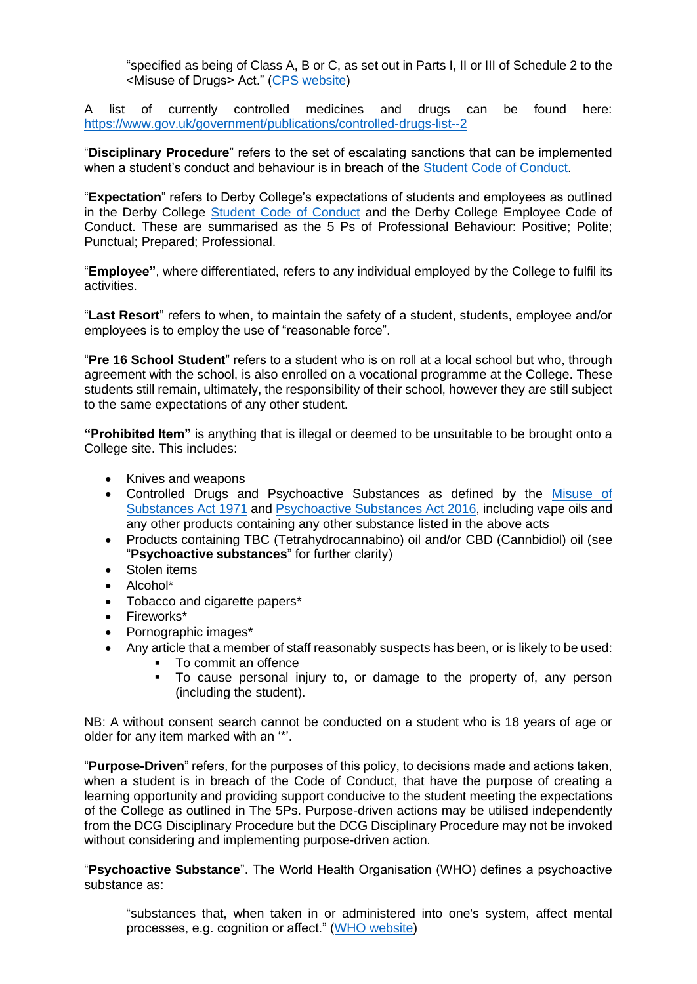"specified as being of Class A, B or C, as set out in Parts I, II or III of Schedule 2 to the <Misuse of Drugs> Act." [\(CPS website\)](https://www.cps.gov.uk/legal-guidance/drug-offences)

A list of currently controlled medicines and drugs can be found here: <https://www.gov.uk/government/publications/controlled-drugs-list--2>

"**Disciplinary Procedure**" refers to the set of escalating sanctions that can be implemented when a student's conduct and behaviour is in breach of the [Student Code of Conduct.](https://studentderbycollegeac.sharepoint.com/sites/StudentHandbook/SitePages/Code-of-Conduct.aspx)

"**Expectation**" refers to Derby College's expectations of students and employees as outlined in the Derby College [Student Code of Conduct](https://studentderbycollegeac.sharepoint.com/sites/StudentHandbook/SitePages/Code-of-Conduct.aspx) and the Derby College Employee Code of Conduct. These are summarised as the 5 Ps of Professional Behaviour: Positive; Polite; Punctual; Prepared; Professional.

"**Employee"**, where differentiated, refers to any individual employed by the College to fulfil its activities.

"**Last Resort**" refers to when, to maintain the safety of a student, students, employee and/or employees is to employ the use of "reasonable force".

"**Pre 16 School Student**" refers to a student who is on roll at a local school but who, through agreement with the school, is also enrolled on a vocational programme at the College. These students still remain, ultimately, the responsibility of their school, however they are still subject to the same expectations of any other student.

**"Prohibited Item"** is anything that is illegal or deemed to be unsuitable to be brought onto a College site. This includes:

- Knives and weapons
- Controlled Drugs and Psychoactive Substances as defined by the [Misuse of](https://www.legislation.gov.uk/ukpga/1971/38/contents)  [Substances Act 1971](https://www.legislation.gov.uk/ukpga/1971/38/contents) and [Psychoactive Substances Act 2016,](http://www.legislation.gov.uk/ukpga/2016/2/contents/enacted) including vape oils and any other products containing any other substance listed in the above acts
- Products containing TBC (Tetrahydrocannabino) oil and/or CBD (Cannbidiol) oil (see "**Psychoactive substances**" for further clarity)
- Stolen items
- Alcohol\*
- Tobacco and cigarette papers\*
- Fireworks\*
- Pornographic images\*
- Any article that a member of staff reasonably suspects has been, or is likely to be used:
	- To commit an offence
	- To cause personal injury to, or damage to the property of, any person (including the student).

NB: A without consent search cannot be conducted on a student who is 18 years of age or older for any item marked with an '\*'.

"**Purpose-Driven**" refers, for the purposes of this policy, to decisions made and actions taken, when a student is in breach of the Code of Conduct, that have the purpose of creating a learning opportunity and providing support conducive to the student meeting the expectations of the College as outlined in The 5Ps. Purpose-driven actions may be utilised independently from the DCG Disciplinary Procedure but the DCG Disciplinary Procedure may not be invoked without considering and implementing purpose-driven action.

"**Psychoactive Substance**". The World Health Organisation (WHO) defines a psychoactive substance as:

"substances that, when taken in or administered into one's system, affect mental processes, e.g. cognition or affect." [\(WHO website\)](https://www.who.int/substance_abuse/terminology/psychoactive_substances/en/)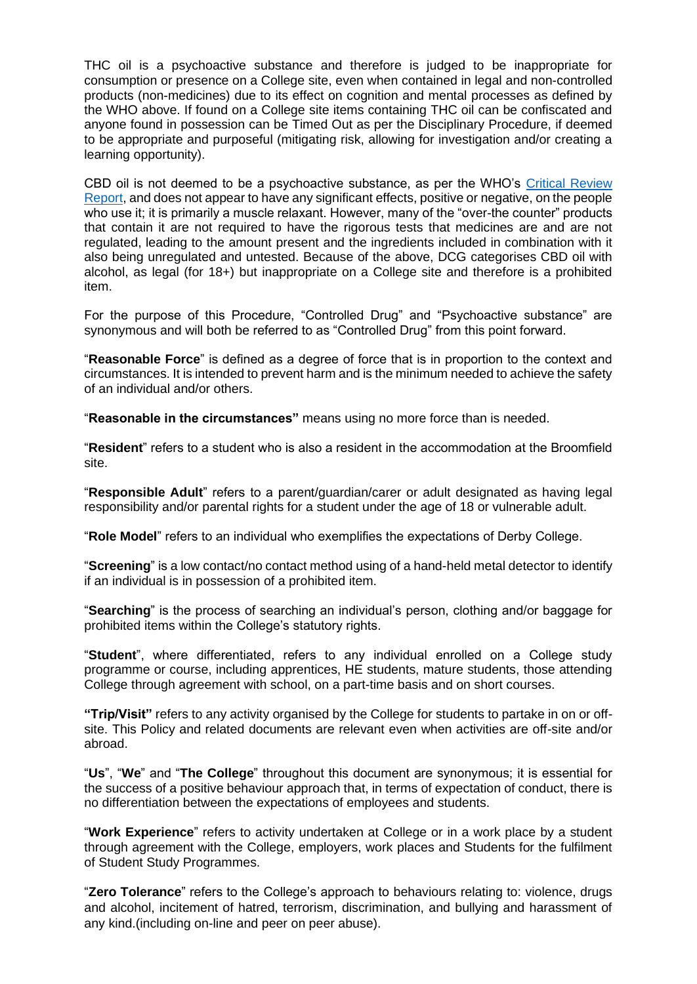THC oil is a psychoactive substance and therefore is judged to be inappropriate for consumption or presence on a College site, even when contained in legal and non-controlled products (non-medicines) due to its effect on cognition and mental processes as defined by the WHO above. If found on a College site items containing THC oil can be confiscated and anyone found in possession can be Timed Out as per the Disciplinary Procedure, if deemed to be appropriate and purposeful (mitigating risk, allowing for investigation and/or creating a learning opportunity).

CBD oil is not deemed to be a psychoactive substance, as per the WHO's [Critical Review](https://www.who.int/medicines/access/controlled-substances/CannabidiolCriticalReview.pdf)  [Report,](https://www.who.int/medicines/access/controlled-substances/CannabidiolCriticalReview.pdf) and does not appear to have any significant effects, positive or negative, on the people who use it; it is primarily a muscle relaxant. However, many of the "over-the counter" products that contain it are not required to have the rigorous tests that medicines are and are not regulated, leading to the amount present and the ingredients included in combination with it also being unregulated and untested. Because of the above, DCG categorises CBD oil with alcohol, as legal (for 18+) but inappropriate on a College site and therefore is a prohibited item.

For the purpose of this Procedure, "Controlled Drug" and "Psychoactive substance" are synonymous and will both be referred to as "Controlled Drug" from this point forward.

"**Reasonable Force**" is defined as a degree of force that is in proportion to the context and circumstances. It is intended to prevent harm and is the minimum needed to achieve the safety of an individual and/or others.

"**Reasonable in the circumstances"** means using no more force than is needed.

"**Resident**" refers to a student who is also a resident in the accommodation at the Broomfield site.

"**Responsible Adult**" refers to a parent/guardian/carer or adult designated as having legal responsibility and/or parental rights for a student under the age of 18 or vulnerable adult.

"**Role Model**" refers to an individual who exemplifies the expectations of Derby College.

"**Screening**" is a low contact/no contact method using of a hand-held metal detector to identify if an individual is in possession of a prohibited item.

"**Searching**" is the process of searching an individual's person, clothing and/or baggage for prohibited items within the College's statutory rights.

"**Student**", where differentiated, refers to any individual enrolled on a College study programme or course, including apprentices, HE students, mature students, those attending College through agreement with school, on a part-time basis and on short courses.

**"Trip/Visit"** refers to any activity organised by the College for students to partake in on or offsite. This Policy and related documents are relevant even when activities are off-site and/or abroad.

"**Us**", "**We**" and "**The College**" throughout this document are synonymous; it is essential for the success of a positive behaviour approach that, in terms of expectation of conduct, there is no differentiation between the expectations of employees and students.

"**Work Experience**" refers to activity undertaken at College or in a work place by a student through agreement with the College, employers, work places and Students for the fulfilment of Student Study Programmes.

"**Zero Tolerance**" refers to the College's approach to behaviours relating to: violence, drugs and alcohol, incitement of hatred, terrorism, discrimination, and bullying and harassment of any kind.(including on-line and peer on peer abuse).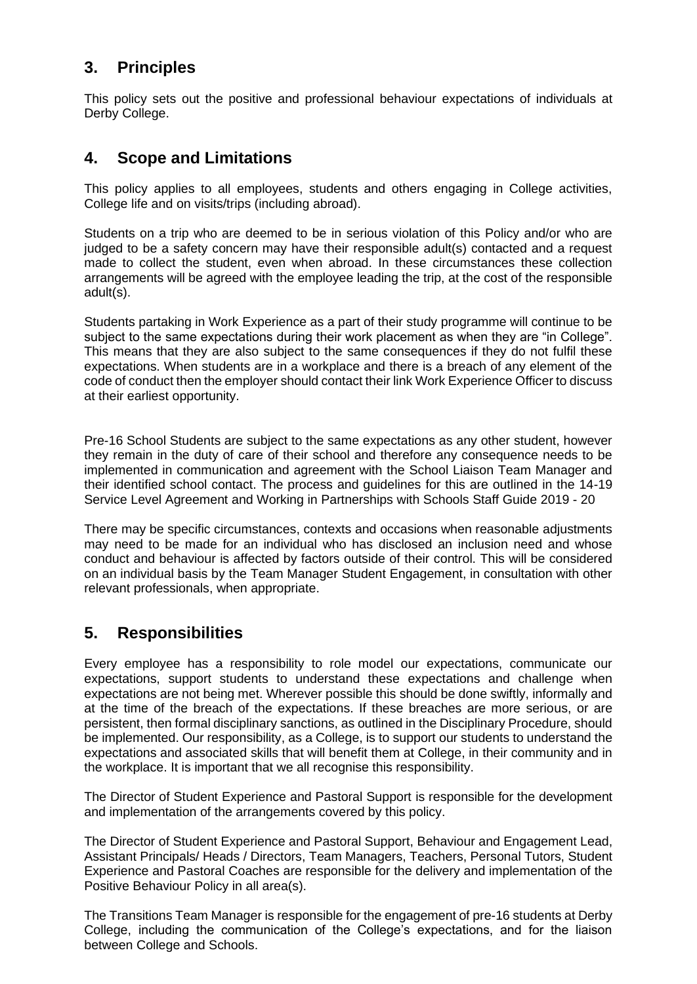#### **3. Principles**

This policy sets out the positive and professional behaviour expectations of individuals at Derby College.

#### **4. Scope and Limitations**

This policy applies to all employees, students and others engaging in College activities, College life and on visits/trips (including abroad).

Students on a trip who are deemed to be in serious violation of this Policy and/or who are judged to be a safety concern may have their responsible adult(s) contacted and a request made to collect the student, even when abroad. In these circumstances these collection arrangements will be agreed with the employee leading the trip, at the cost of the responsible adult(s).

Students partaking in Work Experience as a part of their study programme will continue to be subject to the same expectations during their work placement as when they are "in College". This means that they are also subject to the same consequences if they do not fulfil these expectations. When students are in a workplace and there is a breach of any element of the code of conduct then the employer should contact their link Work Experience Officer to discuss at their earliest opportunity.

Pre-16 School Students are subject to the same expectations as any other student, however they remain in the duty of care of their school and therefore any consequence needs to be implemented in communication and agreement with the School Liaison Team Manager and their identified school contact. The process and guidelines for this are outlined in the 14-19 Service Level Agreement and Working in Partnerships with Schools Staff Guide 2019 - 20

There may be specific circumstances, contexts and occasions when reasonable adjustments may need to be made for an individual who has disclosed an inclusion need and whose conduct and behaviour is affected by factors outside of their control. This will be considered on an individual basis by the Team Manager Student Engagement, in consultation with other relevant professionals, when appropriate.

#### **5. Responsibilities**

Every employee has a responsibility to role model our expectations, communicate our expectations, support students to understand these expectations and challenge when expectations are not being met. Wherever possible this should be done swiftly, informally and at the time of the breach of the expectations. If these breaches are more serious, or are persistent, then formal disciplinary sanctions, as outlined in the Disciplinary Procedure, should be implemented. Our responsibility, as a College, is to support our students to understand the expectations and associated skills that will benefit them at College, in their community and in the workplace. It is important that we all recognise this responsibility.

The Director of Student Experience and Pastoral Support is responsible for the development and implementation of the arrangements covered by this policy.

The Director of Student Experience and Pastoral Support, Behaviour and Engagement Lead, Assistant Principals/ Heads / Directors, Team Managers, Teachers, Personal Tutors, Student Experience and Pastoral Coaches are responsible for the delivery and implementation of the Positive Behaviour Policy in all area(s).

The Transitions Team Manager is responsible for the engagement of pre-16 students at Derby College, including the communication of the College's expectations, and for the liaison between College and Schools.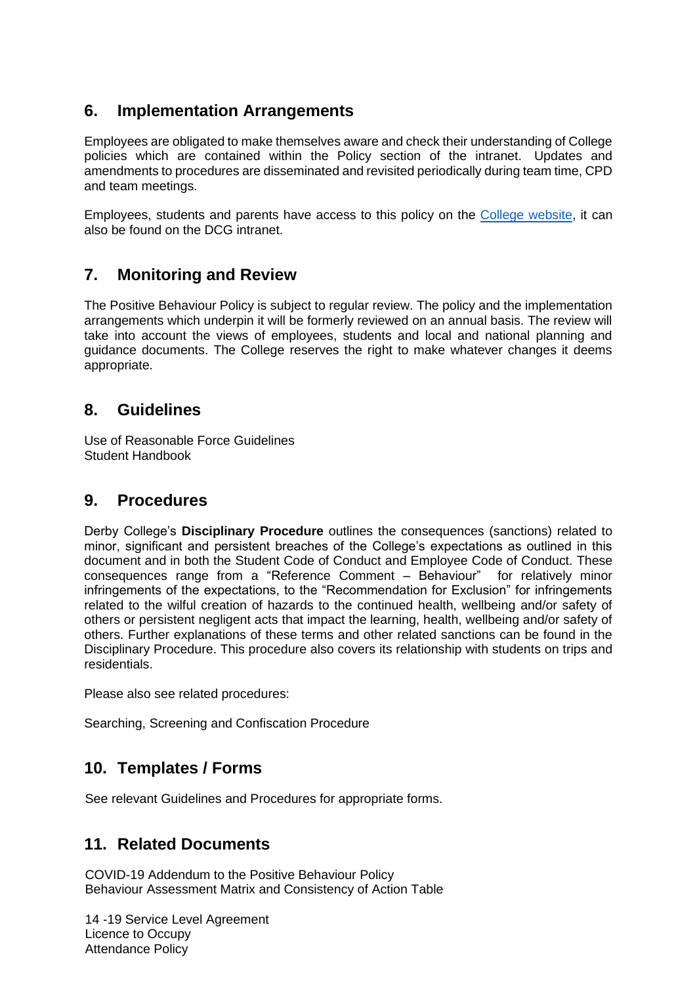#### **6. Implementation Arrangements**

Employees are obligated to make themselves aware and check their understanding of College policies which are contained within the Policy section of the intranet. Updates and amendments to procedures are disseminated and revisited periodically during team time, CPD and team meetings.

Employees, students and parents have access to this policy on the [College website,](https://www.derby-college.ac.uk/) it can also be found on the DCG intranet.

#### **7. Monitoring and Review**

The Positive Behaviour Policy is subject to regular review. The policy and the implementation arrangements which underpin it will be formerly reviewed on an annual basis. The review will take into account the views of employees, students and local and national planning and guidance documents. The College reserves the right to make whatever changes it deems appropriate.

#### **8. Guidelines**

Use of Reasonable Force Guidelines Student Handbook

#### **9. Procedures**

Derby College's **Disciplinary Procedure** outlines the consequences (sanctions) related to minor, significant and persistent breaches of the College's expectations as outlined in this document and in both the Student Code of Conduct and Employee Code of Conduct. These consequences range from a "Reference Comment – Behaviour" for relatively minor infringements of the expectations, to the "Recommendation for Exclusion" for infringements related to the wilful creation of hazards to the continued health, wellbeing and/or safety of others or persistent negligent acts that impact the learning, health, wellbeing and/or safety of others. Further explanations of these terms and other related sanctions can be found in the Disciplinary Procedure. This procedure also covers its relationship with students on trips and residentials.

Please also see related procedures:

Searching, Screening and Confiscation Procedure

#### **10. Templates / Forms**

See relevant Guidelines and Procedures for appropriate forms.

#### **11. Related Documents**

COVID-19 Addendum to the Positive Behaviour Policy Behaviour Assessment Matrix and Consistency of Action Table

14 -19 Service Level Agreement Licence to Occupy Attendance Policy